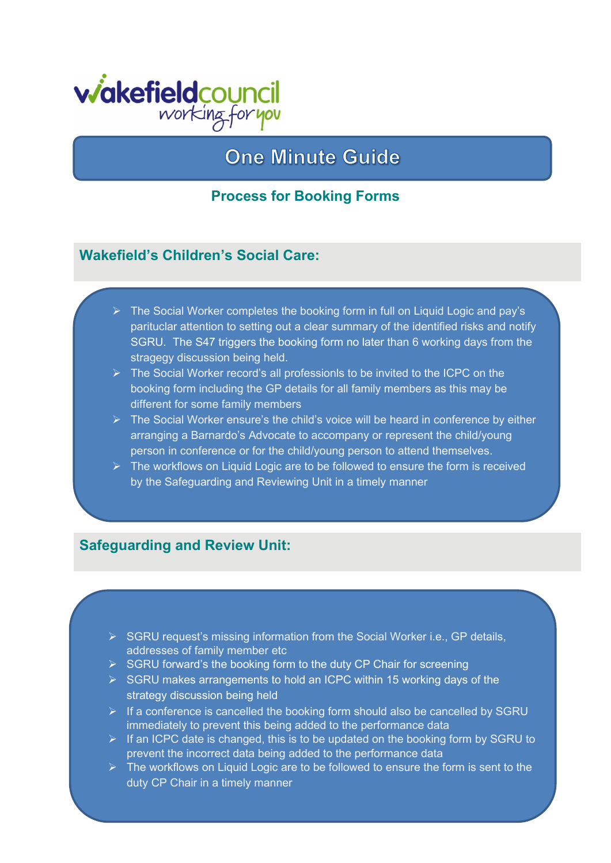

# **One Minute Guide**

### **Process for Booking Forms**

### **Wakefield's Children's Social Care:**

- $\triangleright$  The Social Worker completes the booking form in full on Liquid Logic and pay's parituclar attention to setting out a clear summary of the identified risks and notify [SGRU.](mailto:SGRUAdmin@wakefield.gov.uk) The S47 triggers the booking form no later than 6 working days from the stragegy discussion being held.
- $\triangleright$  The Social Worker record's all professionls to be invited to the ICPC on the booking form including the GP details for all family members as this may be different for some family members
- $\triangleright$  The Social Worker ensure's the child's voice will be heard in conference by either arranging a Barnardo's Advocate to accompany or represent the child/young person in conference or for the child/young person to attend themselves.
- $\triangleright$  The workflows on Liquid Logic are to be followed to ensure the form is received by the Safeguarding and Reviewing Unit in a timely manner

#### **Safeguarding and Review Unit:**

- SGRU request's missing information from the Social Worker i.e., GP details, addresses of family member etc
- $\triangleright$  SGRU forward's the booking form to the duty CP Chair for screening
- $\triangleright$  SGRU makes arrangements to hold an ICPC within 15 working days of the strategy discussion being held
- $\triangleright$  If a conference is cancelled the booking form should also be cancelled by SGRU immediately to prevent this being added to the performance data
- $\triangleright$  If an ICPC date is changed, this is to be updated on the booking form by SGRU to prevent the incorrect data being added to the performance data
- $\triangleright$  The workflows on Liquid Logic are to be followed to ensure the form is sent to the duty CP Chair in a timely manner